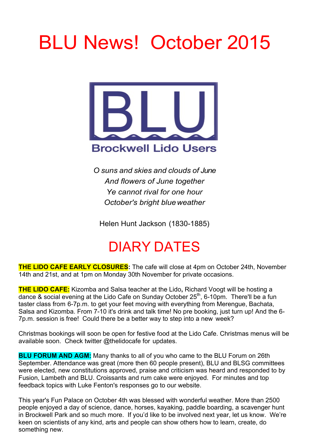# BLU News! October 2015



*O suns and skies and clouds of June And flowers of June together Ye cannot rival for one hour October's bright blueweather*

Helen Hunt Jackson (1830-1885)

## DIARY DATES

**THE LIDO CAFE EARLY CLOSURES:** The cafe will close at 4pm on October 24th, November 14th and 21st, and at 1pm on Monday 30th November for private occasions.

**THE LIDO CAFE:** Kizomba and Salsa teacher at the Lido**,** Richard Voogt will be hosting a dance & social evening at the Lido Cafe on Sunday October 25<sup>th</sup>, 6-10pm. There'll be a fun taster class from 6-7p.m. to get your feet moving with everything from Merengue, Bachata, Salsa and Kizomba. From 7-10 it's drink and talk time! No pre booking, just turn up! And the 6- 7p.m. session is free! Could there be a better way to step into a new week?

Christmas bookings will soon be open for festive food at the Lido Cafe. Christmas menus will be available soon. Check twitter @thelidocafe for updates.

**BLU FORUM AND AGM:** Many thanks to all of you who came to the BLU Forum on 26th September. Attendance was great (more then 60 people present), BLU and BLSG committees were elected, new constitutions approved, praise and criticism was heard and responded to by Fusion, Lambeth and BLU. Croissants and rum cake were enjoyed. For minutes and top feedback topics with Luke Fenton's responses go to our website.

This year's Fun Palace on October 4th was blessed with wonderful weather. More than 2500 people enjoyed a day of science, dance, horses, kayaking, paddle boarding, a scavenger hunt in Brockwell Park and so much more. If you'd like to be involved next year, let us know. We're keen on scientists of any kind, arts and people can show others how to learn, create, do something new.